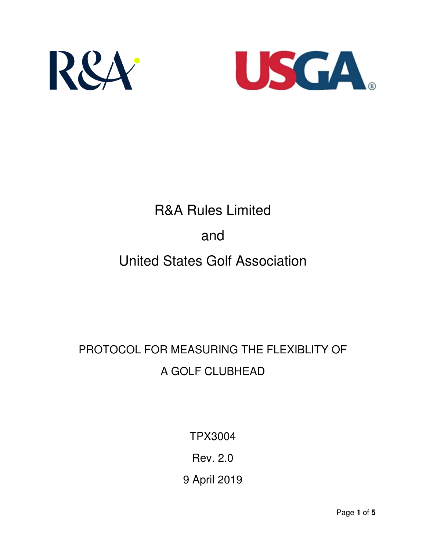



# R&A Rules Limited and United States Golf Association

# PROTOCOL FOR MEASURING THE FLEXIBLITY OF A GOLF CLUBHEAD

TPX3004

Rev. 2.0

9 April 2019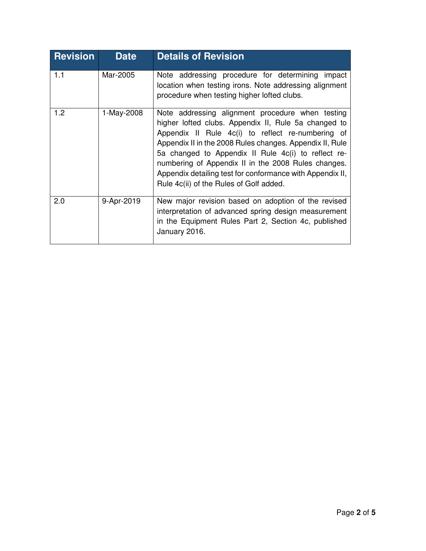| <b>Revision</b> | <b>Date</b> | <b>Details of Revision</b>                                                                                                                                                                                                                                                                                                                                                                                                                      |
|-----------------|-------------|-------------------------------------------------------------------------------------------------------------------------------------------------------------------------------------------------------------------------------------------------------------------------------------------------------------------------------------------------------------------------------------------------------------------------------------------------|
| 1.1             | Mar-2005    | Note addressing procedure for determining<br>impact<br>location when testing irons. Note addressing alignment<br>procedure when testing higher lofted clubs.                                                                                                                                                                                                                                                                                    |
| 1.2             | 1-May-2008  | Note addressing alignment procedure when testing<br>higher lofted clubs. Appendix II, Rule 5a changed to<br>Appendix II Rule 4c(i) to reflect re-numbering of<br>Appendix II in the 2008 Rules changes. Appendix II, Rule<br>5a changed to Appendix II Rule 4c(i) to reflect re-<br>numbering of Appendix II in the 2008 Rules changes.<br>Appendix detailing test for conformance with Appendix II,<br>Rule 4c(ii) of the Rules of Golf added. |
| 2.0             | 9-Apr-2019  | New major revision based on adoption of the revised<br>interpretation of advanced spring design measurement<br>in the Equipment Rules Part 2, Section 4c, published<br>January 2016.                                                                                                                                                                                                                                                            |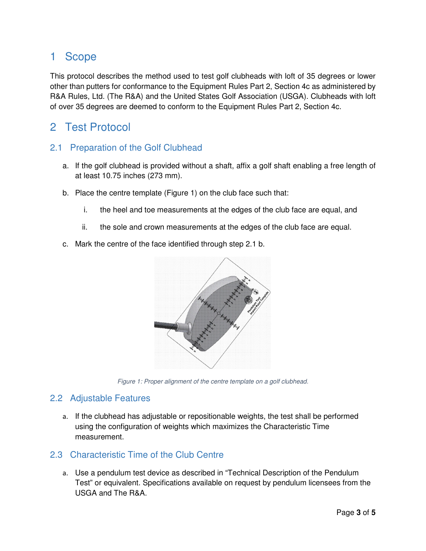# 1 Scope

This protocol describes the method used to test golf clubheads with loft of 35 degrees or lower other than putters for conformance to the Equipment Rules Part 2, Section 4c as administered by R&A Rules, Ltd. (The R&A) and the United States Golf Association (USGA). Clubheads with loft of over 35 degrees are deemed to conform to the Equipment Rules Part 2, Section 4c.

## 2 Test Protocol

#### 2.1 Preparation of the Golf Clubhead

- a. If the golf clubhead is provided without a shaft, affix a golf shaft enabling a free length of at least 10.75 inches (273 mm).
- b. Place the centre template (Figure 1) on the club face such that:
	- i. the heel and toe measurements at the edges of the club face are equal, and
	- ii. the sole and crown measurements at the edges of the club face are equal.
- c. Mark the centre of the face identified through step 2.1 b.



*Figure 1: Proper alignment of the centre template on a golf clubhead.* 

#### 2.2 Adjustable Features

a. If the clubhead has adjustable or repositionable weights, the test shall be performed using the configuration of weights which maximizes the Characteristic Time measurement.

#### 2.3 Characteristic Time of the Club Centre

a. Use a pendulum test device as described in "Technical Description of the Pendulum Test" or equivalent. Specifications available on request by pendulum licensees from the USGA and The R&A.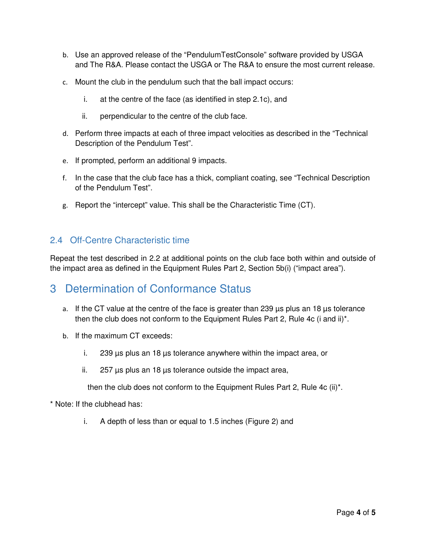- b. Use an approved release of the "PendulumTestConsole" software provided by USGA and The R&A. Please contact the USGA or The R&A to ensure the most current release.
- c. Mount the club in the pendulum such that the ball impact occurs:
	- i. at the centre of the face (as identified in step 2.1c), and
	- ii. perpendicular to the centre of the club face.
- d. Perform three impacts at each of three impact velocities as described in the "Technical Description of the Pendulum Test".
- e. If prompted, perform an additional 9 impacts.
- f. In the case that the club face has a thick, compliant coating, see "Technical Description of the Pendulum Test".
- g. Report the "intercept" value. This shall be the Characteristic Time (CT).

#### 2.4 Off-Centre Characteristic time

Repeat the test described in 2.2 at additional points on the club face both within and outside of the impact area as defined in the Equipment Rules Part 2, Section 5b(i) ("impact area").

### 3 Determination of Conformance Status

- a. If the CT value at the centre of the face is greater than 239  $\mu$ s plus an 18  $\mu$ s tolerance then the club does not conform to the Equipment Rules Part 2, Rule 4c (i and ii)\*.
- b. If the maximum CT exceeds:
	- i. 239 µs plus an 18 µs tolerance anywhere within the impact area, or
	- ii.  $257 \mu s$  plus an 18  $\mu s$  tolerance outside the impact area,

then the club does not conform to the Equipment Rules Part 2, Rule 4c (ii)\*.

- \* Note: If the clubhead has:
	- i. A depth of less than or equal to 1.5 inches (Figure 2) and